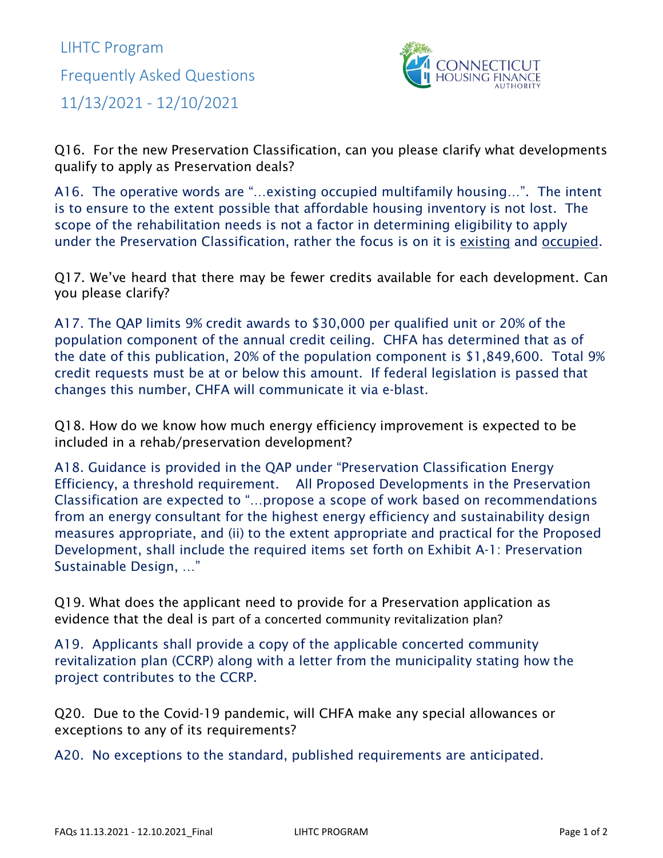LIHTC Program Frequently Asked Questions 11/13/2021 - 12/10/2021



Q16. For the new Preservation Classification, can you please clarify what developments qualify to apply as Preservation deals?

A16. The operative words are "…existing occupied multifamily housing…". The intent is to ensure to the extent possible that affordable housing inventory is not lost. The scope of the rehabilitation needs is not a factor in determining eligibility to apply under the Preservation Classification, rather the focus is on it is existing and occupied.

Q17. We've heard that there may be fewer credits available for each development. Can you please clarify?

A17. The QAP limits 9% credit awards to \$30,000 per qualified unit or 20% of the population component of the annual credit ceiling. CHFA has determined that as of the date of this publication, 20% of the population component is \$1,849,600. Total 9% credit requests must be at or below this amount. If federal legislation is passed that changes this number, CHFA will communicate it via e-blast.

Q18. How do we know how much energy efficiency improvement is expected to be included in a rehab/preservation development?

A18. Guidance is provided in the QAP under "Preservation Classification Energy Efficiency, a threshold requirement. All Proposed Developments in the Preservation Classification are expected to "…propose a scope of work based on recommendations from an energy consultant for the highest energy efficiency and sustainability design measures appropriate, and (ii) to the extent appropriate and practical for the Proposed Development, shall include the required items set forth on Exhibit A-1: Preservation Sustainable Design, …"

Q19. What does the applicant need to provide for a Preservation application as evidence that the deal is part of a concerted community revitalization plan?

A19. Applicants shall provide a copy of the applicable concerted community revitalization plan (CCRP) along with a letter from the municipality stating how the project contributes to the CCRP.

Q20. Due to the Covid-19 pandemic, will CHFA make any special allowances or exceptions to any of its requirements?

A20. No exceptions to the standard, published requirements are anticipated.